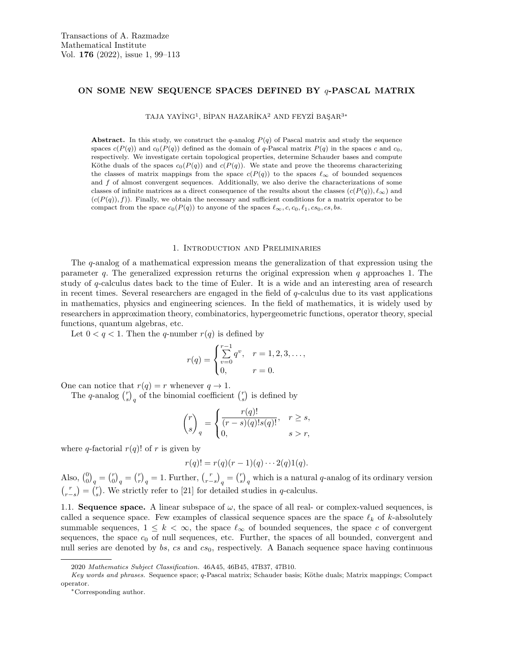# ON SOME NEW SEQUENCE SPACES DEFINED BY q-PASCAL MATRIX

TAJA YAYİNG<sup>1</sup>, BİPAN HAZARİKA<sup>2</sup> AND FEYZİ BAŞAR<sup>3</sup>\*

Abstract. In this study, we construct the q-analog  $P(q)$  of Pascal matrix and study the sequence spaces  $c(P(q))$  and  $c_0(P(q))$  defined as the domain of q-Pascal matrix  $P(q)$  in the spaces c and  $c_0$ , respectively. We investigate certain topological properties, determine Schauder bases and compute Köthe duals of the spaces  $c_0(P(q))$  and  $c(P(q))$ . We state and prove the theorems characterizing the classes of matrix mappings from the space  $c(P(q))$  to the spaces  $\ell_{\infty}$  of bounded sequences and  $f$  of almost convergent sequences. Additionally, we also derive the characterizations of some classes of infinite matrices as a direct consequence of the results about the classes  $(c(P(q)), \ell_{\infty})$  and  $(c(P(q)), f)$ ). Finally, we obtain the necessary and sufficient conditions for a matrix operator to be compact from the space  $c_0(P(q))$  to anyone of the spaces  $\ell_{\infty}, c, c_0, \ell_1, cs_0, cs, bs$ .

#### 1. Introduction and Preliminaries

The q-analog of a mathematical expression means the generalization of that expression using the parameter  $q$ . The generalized expression returns the original expression when  $q$  approaches 1. The study of q-calculus dates back to the time of Euler. It is a wide and an interesting area of research in recent times. Several researchers are engaged in the field of  $q$ -calculus due to its vast applications in mathematics, physics and engineering sciences. In the field of mathematics, it is widely used by researchers in approximation theory, combinatorics, hypergeometric functions, operator theory, special functions, quantum algebras, etc.

Let  $0 < q < 1$ . Then the q-number  $r(q)$  is defined by

$$
r(q) = \begin{cases} \sum_{v=0}^{r-1} q^v, & r = 1, 2, 3, \dots, \\ 0, & r = 0. \end{cases}
$$

One can notice that  $r(q) = r$  whenever  $q \to 1$ .

The q-analog  $\binom{r}{s}_q$  of the binomial coefficient  $\binom{r}{s}$  is defined by

$$
\binom{r}{s}_q = \begin{cases} \frac{r(q)!}{(r-s)(q)!s(q)!}, & r \ge s, \\ 0, & s > r, \end{cases}
$$

where q-factorial  $r(q)$ ! of r is given by

$$
r(q)! = r(q)(r-1)(q) \cdots 2(q)1(q).
$$

Also,  $\binom{0}{0}_q = \binom{r}{r}_q = 1$ . Further,  $\binom{r}{r-s}_q = \binom{r}{s}_q$  which is a natural q-analog of its ordinary version  $r \choose r-s$  =  $r \choose s$ . We strictly refer to [21] for detailed studies in q-calculus.

1.1. **Sequence space.** A linear subspace of  $\omega$ , the space of all real- or complex-valued sequences, is called a sequence space. Few examples of classical sequence spaces are the space  $\ell_k$  of k-absolutely summable sequences,  $1 \leq k < \infty$ , the space  $\ell_{\infty}$  of bounded sequences, the space c of convergent sequences, the space  $c_0$  of null sequences, etc. Further, the spaces of all bounded, convergent and null series are denoted by bs, cs and  $cs_0$ , respectively. A Banach sequence space having continuous

<sup>2020</sup> Mathematics Subject Classification. 46A45, 46B45, 47B37, 47B10.

Key words and phrases. Sequence space; q-Pascal matrix; Schauder basis; Köthe duals; Matrix mappings; Compact operator.

<sup>∗</sup>Corresponding author.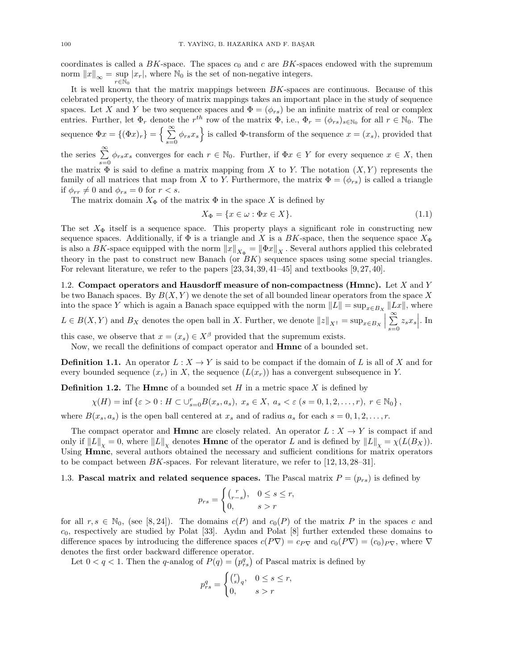coordinates is called a  $BK$ -space. The spaces  $c_0$  and c are  $BK$ -spaces endowed with the supremum norm  $||x||_{\infty} = \sup_{x} |x_r|$ , where  $\mathbb{N}_0$  is the set of non-negative integers.  $r \in \bar{\mathbb{N}}_0$ 

It is well known that the matrix mappings between BK-spaces are continuous. Because of this celebrated property, the theory of matrix mappings takes an important place in the study of sequence spaces. Let X and Y be two sequence spaces and  $\Phi = (\phi_{rs})$  be an infinite matrix of real or complex entries. Further, let  $\Phi_r$  denote the  $r^{th}$  row of the matrix  $\Phi$ , i.e.,  $\Phi_r = (\phi_{rs})_{s \in \mathbb{N}_0}$  for all  $r \in \mathbb{N}_0$ . The sequence  $\Phi x = \{(\Phi x)_r\} = \left\{\sum_{r=1}^{\infty} \Phi(r) \right\}$  $\sum_{s=0}^{\infty} \phi_{rs} x_s$  is called  $\Phi$ -transform of the sequence  $x = (x_s)$ , provided that the series  $\sum_{s=0}^{\infty} \phi_{rs}x_s$  converges for each  $r \in \mathbb{N}_0$ . Further, if  $\Phi x \in Y$  for every sequence  $x \in X$ , then the matrix  $\Phi$  is said to define a matrix mapping from X to Y. The notation  $(X, Y)$  represents the family of all matrices that map from X to Y. Furthermore, the matrix  $\Phi = (\phi_{rs})$  is called a triangle if  $\phi_{rr} \neq 0$  and  $\phi_{rs} = 0$  for  $r < s$ .

The matrix domain  $X_{\Phi}$  of the matrix  $\Phi$  in the space X is defined by

$$
X_{\Phi} = \{ x \in \omega : \Phi x \in X \}. \tag{1.1}
$$

The set  $X_{\Phi}$  itself is a sequence space. This property plays a significant role in constructing new sequence spaces. Additionally, if  $\Phi$  is a triangle and X is a BK-space, then the sequence space  $X_{\Phi}$ is also a BK-space equipped with the norm  $||x||_{X_{\Phi}} = ||\Phi x||_X$ . Several authors applied this celebrated theory in the past to construct new Banach (or  $BK$ ) sequence spaces using some special triangles. For relevant literature, we refer to the papers  $[23, 34, 39, 41-45]$  and textbooks  $[9, 27, 40]$ .

1.2. Compact operators and Hausdorff measure of non-compactness (Hmnc). Let X and Y be two Banach spaces. By  $B(X, Y)$  we denote the set of all bounded linear operators from the space X into the space Y which is again a Banach space equipped with the norm  $||L|| = \sup_{x \in B_X} ||Lx||$ , where  $L \in B(X,Y)$  and  $B_X$  denotes the open ball in X. Further, we denote  $||z||_{X^{\dagger}} = \sup_{x \in B_X} \Big|\sum_{s=0}^{\infty}$  $\sum_{s=0}^{\infty} z_s x_s$ . In this case, we observe that  $x = (x_s) \in X^{\beta}$  provided that the supremum exists.

Now, we recall the definitions of compact operator and Hmnc of a bounded set.

**Definition 1.1.** An operator  $L : X \to Y$  is said to be compact if the domain of L is all of X and for every bounded sequence  $(x_r)$  in X, the sequence  $(L(x_r))$  has a convergent subsequence in Y.

**Definition 1.2.** The **Hmnc** of a bounded set H in a metric space X is defined by

$$
\chi(H) = \inf \{\varepsilon > 0 : H \subset \bigcup_{s=0}^r B(x_s, a_s), \ x_s \in X, \ a_s < \varepsilon \ (s = 0, 1, 2, \dots, r), \ r \in \mathbb{N}_0\},\
$$

where  $B(x_s, a_s)$  is the open ball centered at  $x_s$  and of radius  $a_s$  for each  $s = 0, 1, 2, \ldots, r$ .

The compact operator and **Hmnc** are closely related. An operator  $L : X \to Y$  is compact if and only if  $||L||_{\chi} = 0$ , where  $||L||_{\chi}$  denotes **Hmnc** of the operator L and is defined by  $||L||_{\chi} = \chi(L(B_X)).$ Using Hmnc, several authors obtained the necessary and sufficient conditions for matrix operators to be compact between  $BK$ -spaces. For relevant literature, we refer to [12, 13, 28–31].

# 1.3. Pascal matrix and related sequence spaces. The Pascal matrix  $P = (p_{rs})$  is defined by

$$
p_{rs} = \begin{cases} {r \choose r-s}, & 0 \le s \le r, \\ 0, & s > r \end{cases}
$$

for all  $r, s \in \mathbb{N}_0$ , (see [8, 24]). The domains  $c(P)$  and  $c_0(P)$  of the matrix P in the spaces c and  $c_0$ , respectively are studied by Polat [33]. Aydın and Polat [8] further extended these domains to difference spaces by introducing the difference spaces  $c(P\nabla) = c_{P\nabla}$  and  $c_0(P\nabla) = (c_0)_{P\nabla}$ , where  $\nabla$ denotes the first order backward difference operator.

Let  $0 < q < 1$ . Then the q-analog of  $P(q) = (p_{rs}^q)$  of Pascal matrix is defined by

$$
p_{rs}^q = \begin{cases} {r \choose s}_q, & 0 \le s \le r, \\ 0, & s > r \end{cases}
$$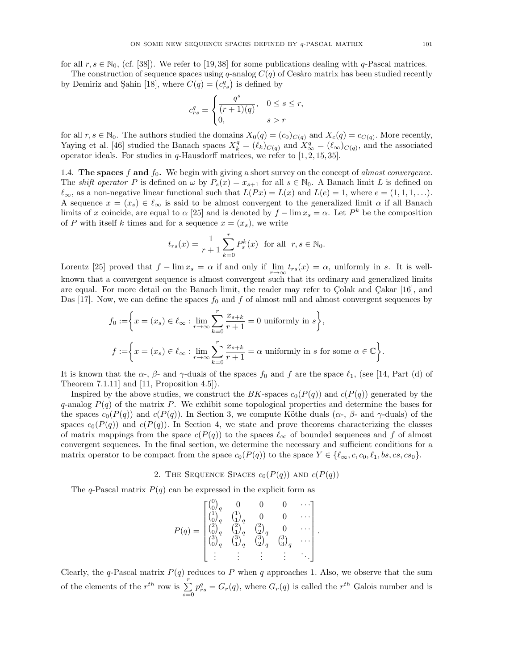for all  $r, s \in \mathbb{N}_0$ , (cf. [38]). We refer to [19,38] for some publications dealing with q-Pascal matrices.

The construction of sequence spaces using  $q$ -analog  $C(q)$  of Cesaro matrix has been studied recently by Demiriz and Şahin [18], where  $C(q) = (c_{rs}^q)$  is defined by

$$
c_{rs}^q=\begin{cases}\frac{q^s}{(r+1)(q)}, &0\leq s\leq r,\\ 0, &s>r\end{cases}
$$

for all  $r, s \in \mathbb{N}_0$ . The authors studied the domains  $X_0(q) = (c_0)_{C(q)}$  and  $X_c(q) = c_{C(q)}$ . More recently, Yaying et al. [46] studied the Banach spaces  $X_k^q = (\ell_k)_{C(q)}$  and  $X_\infty^q = (\ell_\infty)_{C(q)}$ , and the associated operator ideals. For studies in  $q$ -Hausdorff matrices, we refer to [1, 2, 15, 35].

1.4. The spaces f and  $f_0$ . We begin with giving a short survey on the concept of almost convergence. The shift operator P is defined on  $\omega$  by  $P_s(x) = x_{s+1}$  for all  $s \in \mathbb{N}_0$ . A Banach limit L is defined on  $\ell_{\infty}$ , as a non-negative linear functional such that  $L(Px) = L(x)$  and  $L(e) = 1$ , where  $e = (1, 1, 1, \ldots)$ . A sequence  $x = (x_s) \in \ell_\infty$  is said to be almost convergent to the generalized limit  $\alpha$  if all Banach limits of x coincide, are equal to  $\alpha$  [25] and is denoted by  $f - \lim x_s = \alpha$ . Let  $P^k$  be the composition of P with itself k times and for a sequence  $x = (x_s)$ , we write

$$
t_{rs}(x)=\frac{1}{r+1}\sum_{k=0}^r P_s^k(x)\ \ \text{for all}\ \ r,s\in\mathbb{N}_0.
$$

Lorentz [25] proved that  $f - \lim x_s = \alpha$  if and only if  $\lim_{r \to \infty} t_{rs}(x) = \alpha$ , uniformly in s. It is wellknown that a convergent sequence is almost convergent such that its ordinary and generalized limits are equal. For more detail on the Banach limit, the reader may refer to Colak and Cakar [16], and Das [17]. Now, we can define the spaces  $f_0$  and f of almost null and almost convergent sequences by

$$
f_0 := \left\{ x = (x_s) \in \ell_\infty : \lim_{r \to \infty} \sum_{k=0}^r \frac{x_{s+k}}{r+1} = 0 \text{ uniformly in } s \right\},\
$$
  

$$
f := \left\{ x = (x_s) \in \ell_\infty : \lim_{r \to \infty} \sum_{k=0}^r \frac{x_{s+k}}{r+1} = \alpha \text{ uniformly in } s \text{ for some } \alpha \in \mathbb{C} \right\}.
$$

It is known that the  $\alpha$ -,  $\beta$ - and  $\gamma$ -duals of the spaces  $f_0$  and f are the space  $\ell_1$ , (see [14, Part (d) of Theorem 7.1.11 and  $[11,$  Proposition 4.5.].

Inspired by the above studies, we construct the BK-spaces  $c_0(P(q))$  and  $c(P(q))$  generated by the q-analog  $P(q)$  of the matrix P. We exhibit some topological properties and determine the bases for the spaces  $c_0(P(q))$  and  $c(P(q))$ . In Section 3, we compute Köthe duals  $(\alpha, \beta)$ - and  $\gamma$ -duals) of the spaces  $c_0(P(q))$  and  $c(P(q))$ . In Section 4, we state and prove theorems characterizing the classes of matrix mappings from the space  $c(P(q))$  to the spaces  $\ell_{\infty}$  of bounded sequences and f of almost convergent sequences. In the final section, we determine the necessary and sufficient conditions for a matrix operator to be compact from the space  $c_0(P(q))$  to the space  $Y \in \{\ell_\infty, c, c_0, \ell_1, bs, cs, cs_0\}.$ 

2. THE SEQUENCE SPACES  $c_0(P(q))$  AND  $c(P(q))$ 

The q-Pascal matrix  $P(q)$  can be expressed in the explicit form as

$$
P(q) = \begin{bmatrix} {0 \choose 0}_q & 0 & 0 & 0 & \cdots \\ {1 \choose 0}_q & {1 \choose 1}_q & 0 & 0 & \cdots \\ {2 \choose 0}_q & {2 \choose 1}_q & {2 \choose 2}_q & 0 & \cdots \\ {3 \choose 0}_q & {3 \choose 1}_q & {3 \choose 2}_q & {3 \choose 3}_q & \cdots \\ \vdots & \vdots & \vdots & \vdots & \ddots \end{bmatrix}.
$$

Clearly, the q-Pascal matrix  $P(q)$  reduces to P when q approaches 1. Also, we observe that the sum of the elements of the r<sup>th</sup> row is  $\sum_{s=0}^{r} p_{rs}^q = G_r(q)$ , where  $G_r(q)$  is called the r<sup>th</sup> Galois number and is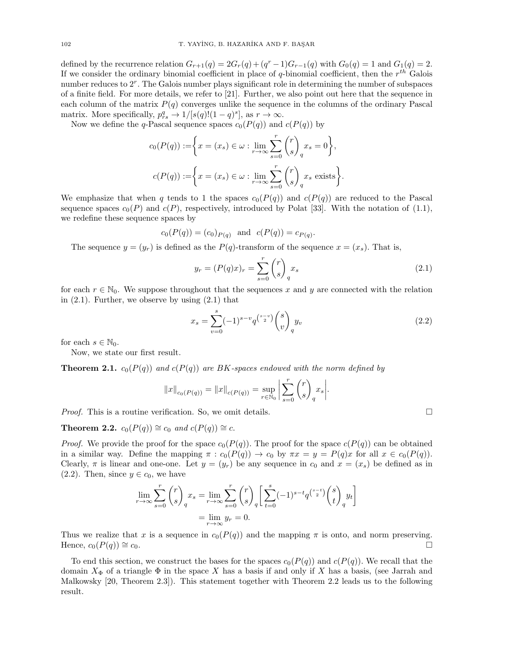defined by the recurrence relation  $G_{r+1}(q) = 2G_r(q) + (q^r - 1)G_{r-1}(q)$  with  $G_0(q) = 1$  and  $G_1(q) = 2$ . If we consider the ordinary binomial coefficient in place of q-binomial coefficient, then the  $r^{th}$  Galois number reduces to 2<sup>r</sup>. The Galois number plays significant role in determining the number of subspaces of a finite field. For more details, we refer to [21]. Further, we also point out here that the sequence in each column of the matrix  $P(q)$  converges unlike the sequence in the columns of the ordinary Pascal matrix. More specifically,  $p_{rs}^q \rightarrow 1/[s(q)!(1-q)^s]$ , as  $r \rightarrow \infty$ .

Now we define the q-Pascal sequence spaces  $c_0(P(q))$  and  $c(P(q))$  by

$$
c_0(P(q)) := \left\{ x = (x_s) \in \omega : \lim_{r \to \infty} \sum_{s=0}^r {r \choose s}_q x_s = 0 \right\},\newline c(P(q)) := \left\{ x = (x_s) \in \omega : \lim_{r \to \infty} \sum_{s=0}^r {r \choose s}_q x_s \text{ exists} \right\}.
$$

We emphasize that when q tends to 1 the spaces  $c_0(P(q))$  and  $c(P(q))$  are reduced to the Pascal sequence spaces  $c_0(P)$  and  $c(P)$ , respectively, introduced by Polat [33]. With the notation of (1.1), we redefine these sequence spaces by

$$
c_0(P(q)) = (c_0)_{P(q)}
$$
 and  $c(P(q)) = c_{P(q)}$ .

The sequence  $y = (y_r)$  is defined as the  $P(q)$ -transform of the sequence  $x = (x_s)$ . That is,

$$
y_r = (P(q)x)_r = \sum_{s=0}^r \binom{r}{s}_q x_s \tag{2.1}
$$

for each  $r \in \mathbb{N}_0$ . We suppose throughout that the sequences x and y are connected with the relation in  $(2.1)$ . Further, we observe by using  $(2.1)$  that

$$
x_s = \sum_{v=0}^{s} (-1)^{s-v} q^{\binom{s-v}{2}} \binom{s}{v}_q y_v \tag{2.2}
$$

for each  $s \in \mathbb{N}_0$ .

Now, we state our first result.

**Theorem 2.1.**  $c_0(P(q))$  and  $c(P(q))$  are BK-spaces endowed with the norm defined by

$$
||x||_{c_0(P(q))} = ||x||_{c(P(q))} = \sup_{r \in \mathbb{N}_0} \left| \sum_{s=0}^r \binom{r}{s} x_s \right|.
$$

Proof. This is a routine verification. So, we omit details.

**Theorem 2.2.**  $c_0(P(q)) \cong c_0$  and  $c(P(q)) \cong c$ .

*Proof.* We provide the proof for the space  $c_0(P(q))$ . The proof for the space  $c(P(q))$  can be obtained in a similar way. Define the mapping  $\pi$  :  $c_0(P(q)) \to c_0$  by  $\pi x = y = P(q)x$  for all  $x \in c_0(P(q))$ . Clearly,  $\pi$  is linear and one-one. Let  $y = (y_r)$  be any sequence in  $c_0$  and  $x = (x_s)$  be defined as in  $(2.2)$ . Then, since  $y \in c_0$ , we have

$$
\lim_{r \to \infty} \sum_{s=0}^{r} {r \choose s}_q x_s = \lim_{r \to \infty} \sum_{s=0}^{r} {r \choose s}_q \left[ \sum_{t=0}^{s} (-1)^{s-t} q^{{s-t \choose 2}} {s \choose t}_q y_t \right]
$$

$$
= \lim_{r \to \infty} y_r = 0.
$$

Thus we realize that x is a sequence in  $c_0(P(q))$  and the mapping  $\pi$  is onto, and norm preserving. Hence,  $c_0(P(q)) \cong c_0$ .

To end this section, we construct the bases for the spaces  $c_0(P(q))$  and  $c(P(q))$ . We recall that the domain  $X_{\Phi}$  of a triangle  $\Phi$  in the space X has a basis if and only if X has a basis, (see Jarrah and Malkowsky [20, Theorem 2.3]). This statement together with Theorem 2.2 leads us to the following result.

$$
\qquad \qquad \Box
$$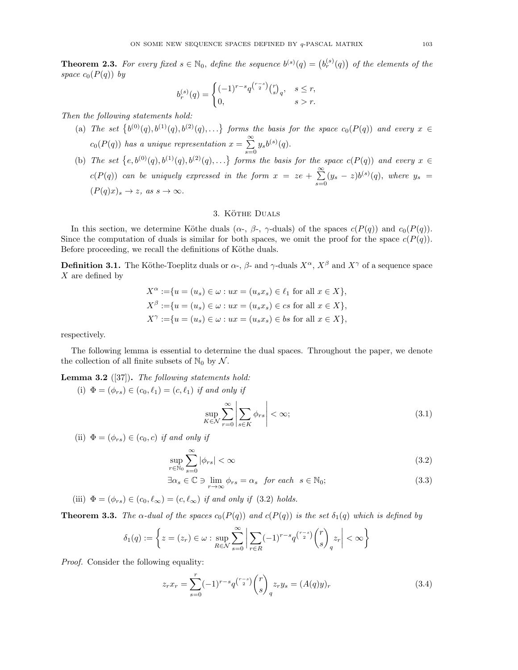**Theorem 2.3.** For every fixed  $s \in \mathbb{N}_0$ , define the sequence  $b^{(s)}(q) = (b_r^{(s)}(q))$  of the elements of the space  $c_0(P(q))$  by

$$
b_r^{(s)}(q) = \begin{cases} (-1)^{r-s} q^{\binom{r-s}{2}} \binom{r}{s}_q, & s \le r, \\ 0, & s > r. \end{cases}
$$

Then the following statements hold:

- (a) The set  $\{b^{(0)}(q), b^{(1)}(q), b^{(2)}(q), \ldots\}$  forms the basis for the space  $c_0(P(q))$  and every  $x \in$  $c_0(P(q))$  has a unique representation  $x = \sum^{\infty}$  $\sum_{s=0} y_s b^{(s)}(q).$
- (b) The set  $\{e, b^{(0)}(q), b^{(1)}(q), b^{(2)}(q), \ldots\}$  forms the basis for the space  $c(P(q))$  and every  $x \in$  $c(P(q))$  can be uniquely expressed in the form  $x = ze + \sum_{n=1}^{\infty}$  $\sum_{s=0}^{s}(y_s - z)b^{(s)}(q)$ , where  $y_s =$  $(P(q)x)_s \to z$ , as  $s \to \infty$ .

# 3. KÖTHE DUALS

In this section, we determine Köthe duals ( $\alpha$ -,  $\beta$ -,  $\gamma$ -duals) of the spaces  $c(P(q))$  and  $c_0(P(q))$ . Since the computation of duals is similar for both spaces, we omit the proof for the space  $c(P(q))$ . Before proceeding, we recall the definitions of Köthe duals.

**Definition 3.1.** The Köthe-Toeplitz duals or  $\alpha$ -,  $\beta$ - and  $\gamma$ -duals  $X^{\alpha}$ ,  $X^{\beta}$  and  $X^{\gamma}$  of a sequence space  $X$  are defined by

$$
X^{\alpha} := \{ u = (u_s) \in \omega : ux = (u_s x_s) \in \ell_1 \text{ for all } x \in X \},
$$
  
\n
$$
X^{\beta} := \{ u = (u_s) \in \omega : ux = (u_s x_s) \in cs \text{ for all } x \in X \},
$$
  
\n
$$
X^{\gamma} := \{ u = (u_s) \in \omega : ux = (u_s x_s) \in bs \text{ for all } x \in X \},
$$

respectively.

The following lemma is essential to determine the dual spaces. Throughout the paper, we denote the collection of all finite subsets of  $\mathbb{N}_0$  by  $\mathcal{N}$ .

**Lemma 3.2** ([37]). The following statements hold:

(i)  $\Phi = (\phi_{rs}) \in (c_0, \ell_1) = (c, \ell_1)$  if and only if

$$
\sup_{K \in \mathcal{N}} \sum_{r=0}^{\infty} \left| \sum_{s \in K} \phi_{rs} \right| < \infty; \tag{3.1}
$$

(ii)  $\Phi = (\phi_{rs}) \in (c_0, c)$  if and only if

$$
\sup_{r \in \mathbb{N}_0} \sum_{s=0}^{\infty} |\phi_{rs}| < \infty \tag{3.2}
$$

$$
\exists \alpha_s \in \mathbb{C} \ni \lim_{r \to \infty} \phi_{rs} = \alpha_s \quad \text{for each} \quad s \in \mathbb{N}_0; \tag{3.3}
$$

(iii)  $\Phi = (\phi_{rs}) \in (c_0, \ell_\infty) = (c, \ell_\infty)$  if and only if (3.2) holds.

**Theorem 3.3.** The  $\alpha$ -dual of the spaces  $c_0(P(q))$  and  $c(P(q))$  is the set  $\delta_1(q)$  which is defined by

$$
\delta_1(q) := \left\{ z = (z_r) \in \omega : \sup_{R \in \mathcal{N}} \sum_{s=0}^{\infty} \left| \sum_{r \in R} (-1)^{r-s} q^{\binom{r-s}{2}} \binom{r}{s} z_r \right| < \infty \right\}
$$

Proof. Consider the following equality:

$$
z_r x_r = \sum_{s=0}^r (-1)^{r-s} q^{\binom{r-s}{2}} \binom{r}{s}_q z_r y_s = (A(q)y)_r \tag{3.4}
$$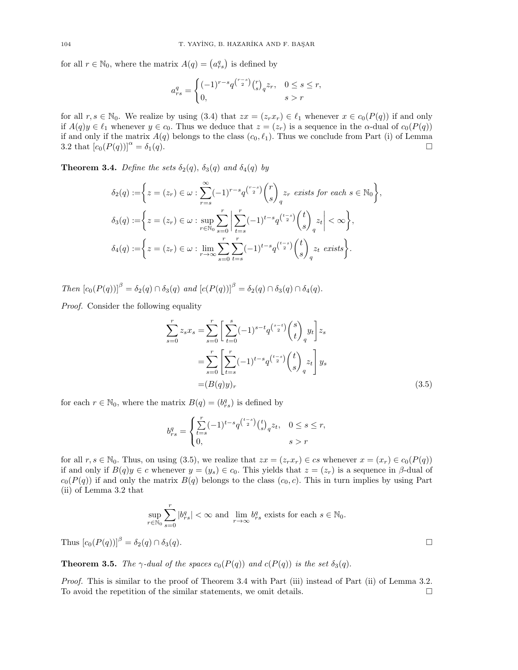for all  $r \in \mathbb{N}_0$ , where the matrix  $A(q) = (a_{rs}^q)$  is defined by

$$
a_{rs}^q = \begin{cases} (-1)^{r-s} q^{\binom{r-s}{2}} \binom{r}{s} q^{z_r}, & 0 \le s \le r, \\ 0, & s > r \end{cases}
$$

for all  $r, s \in \mathbb{N}_0$ . We realize by using (3.4) that  $zx = (z_r x_r) \in \ell_1$  whenever  $x \in c_0(P(q))$  if and only if  $A(q)y \in \ell_1$  whenever  $y \in c_0$ . Thus we deduce that  $z = (z_r)$  is a sequence in the  $\alpha$ -dual of  $c_0(P(q))$ if and only if the matrix  $A(q)$  belongs to the class  $(c_0, \ell_1)$ . Thus we conclude from Part (i) of Lemma 3.2 that  $[c_0(P(q))]^{\alpha} = \delta_1(q)$ .

**Theorem 3.4.** Define the sets  $\delta_2(q)$ ,  $\delta_3(q)$  and  $\delta_4(q)$  by

$$
\delta_2(q) := \left\{ z = (z_r) \in \omega : \sum_{r=s}^{\infty} (-1)^{r-s} q^{\binom{r-s}{2}} \binom{r}{s} z_r \text{ exists for each } s \in \mathbb{N}_0 \right\},
$$
  

$$
\delta_3(q) := \left\{ z = (z_r) \in \omega : \sup_{r \in \mathbb{N}_0} \sum_{s=0}^r \left| \sum_{t=s}^r (-1)^{t-s} q^{\binom{t-s}{2}} \binom{t}{s} z_t \right| < \infty \right\},
$$
  

$$
\delta_4(q) := \left\{ z = (z_r) \in \omega : \lim_{r \to \infty} \sum_{s=0}^r \sum_{t=s}^r (-1)^{t-s} q^{\binom{t-s}{2}} \binom{t}{s} z_t \text{ exists} \right\}.
$$

Then  $[c_0(P(q))]^{\beta} = \delta_2(q) \cap \delta_3(q)$  and  $[c(P(q))]^{\beta} = \delta_2(q) \cap \delta_3(q) \cap \delta_4(q)$ .

Proof. Consider the following equality

$$
\sum_{s=0}^{r} z_s x_s = \sum_{s=0}^{r} \left[ \sum_{t=0}^{s} (-1)^{s-t} q^{\binom{s-t}{2}} \binom{s}{t} y_t \right] z_s
$$
  
= 
$$
\sum_{s=0}^{r} \left[ \sum_{t=s}^{r} (-1)^{t-s} q^{\binom{t-s}{2}} \binom{t}{s} z_t \right] y_s
$$
  
= 
$$
(B(q)y)_r
$$
 (3.5)

for each  $r \in \mathbb{N}_0$ , where the matrix  $B(q) = (b_{rs}^q)$  is defined by

$$
b_{rs}^q=\begin{cases}\sum\limits_{t=s}^{r}(-1)^{t-s}q^{\binom{t-s}{2}}\binom{t}{s}_q z_t, & 0\leq s\leq r,\\ 0, & s>r\end{cases}
$$

for all  $r, s \in \mathbb{N}_0$ . Thus, on using (3.5), we realize that  $zx = (z_r x_r) \in cs$  whenever  $x = (x_r) \in c_0(P(q))$ if and only if  $B(q)y \in c$  whenever  $y = (y_s) \in c_0$ . This yields that  $z = (z_r)$  is a sequence in  $\beta$ -dual of  $c_0(P(q))$  if and only the matrix  $B(q)$  belongs to the class  $(c_0, c)$ . This in turn implies by using Part (ii) of Lemma 3.2 that

$$
\sup_{r \in \mathbb{N}_0} \sum_{s=0}^r |b_{rs}^q| < \infty \text{ and } \lim_{r \to \infty} b_{rs}^q \text{ exists for each } s \in \mathbb{N}_0.
$$

Thus  $[c_0(P(q))]^{\beta} = \delta_2(q) \cap \delta_3(q)$ .

**Theorem 3.5.** The  $\gamma$ -dual of the spaces  $c_0(P(q))$  and  $c(P(q))$  is the set  $\delta_3(q)$ .

Proof. This is similar to the proof of Theorem 3.4 with Part (iii) instead of Part (ii) of Lemma 3.2. To avoid the repetition of the similar statements, we omit details.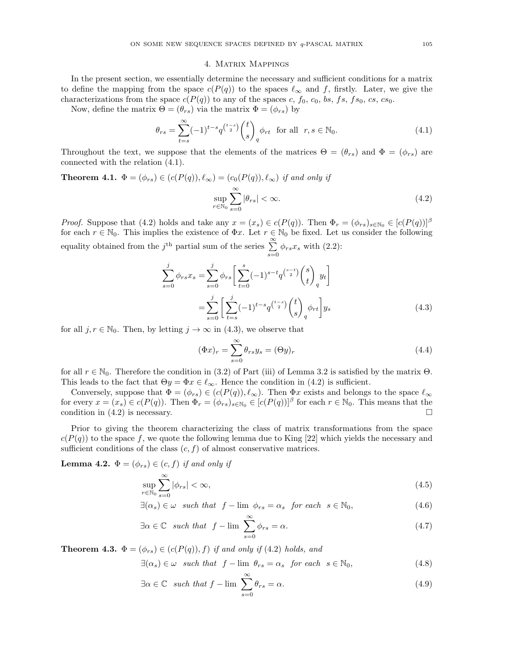### 4. Matrix Mappings

In the present section, we essentially determine the necessary and sufficient conditions for a matrix to define the mapping from the space  $c(P(q))$  to the spaces  $\ell_{\infty}$  and f, firstly. Later, we give the characterizations from the space  $c(P(q))$  to any of the spaces c,  $f_0$ ,  $c_0$ ,  $bs$ ,  $fs$ ,  $fs_0$ ,  $cs$ ,  $cs_0$ .

Now, define the matrix  $\Theta = (\theta_{rs})$  via the matrix  $\Phi = (\phi_{rs})$  by

$$
\theta_{rs} = \sum_{t=s}^{\infty} (-1)^{t-s} q^{\binom{t-s}{2}} \binom{t}{s}_q \phi_{rt} \quad \text{for all} \quad r, s \in \mathbb{N}_0. \tag{4.1}
$$

Throughout the text, we suppose that the elements of the matrices  $\Theta = (\theta_{rs})$  and  $\Phi = (\phi_{rs})$  are connected with the relation (4.1).

#### **Theorem 4.1.**  $\Phi = (\phi_{rs}) \in (c(P(q)), \ell_{\infty}) = (c_0(P(q)), \ell_{\infty})$  if and only if sup  $r \in \mathbb{\bar{N}}_0$  $\sum_{i=1}^{\infty}$  $s=0$  $|\theta_{rs}| < \infty.$  (4.2)

*Proof.* Suppose that (4.2) holds and take any  $x = (x_s) \in c(P(q))$ . Then  $\Phi_r = (\phi_{rs})_{s \in \mathbb{N}_0} \in [c(P(q))]^{\beta}$ for each  $r \in \mathbb{N}_0$ . This implies the existence of  $\Phi x$ . Let  $r \in \mathbb{N}_0$  be fixed. Let us consider the following equality obtained from the j<sup>th</sup> partial sum of the series  $\sum_{s=0}^{\infty} \phi_{rs} x_s$  with (2.2):

$$
\sum_{s=0}^{j} \phi_{rs} x_s = \sum_{s=0}^{j} \phi_{rs} \left[ \sum_{t=0}^{s} (-1)^{s-t} q^{\binom{s-t}{2}} \binom{s}{t}_q y_t \right]
$$

$$
= \sum_{s=0}^{j} \left[ \sum_{t=s}^{j} (-1)^{t-s} q^{\binom{t-s}{2}} \binom{t}{s}_q \phi_{rt} \right] y_s \tag{4.3}
$$

for all  $j, r \in \mathbb{N}_0$ . Then, by letting  $j \to \infty$  in (4.3), we observe that

$$
(\Phi x)_r = \sum_{s=0}^{\infty} \theta_{rs} y_s = (\Theta y)_r \tag{4.4}
$$

for all  $r \in \mathbb{N}_0$ . Therefore the condition in (3.2) of Part (iii) of Lemma 3.2 is satisfied by the matrix  $\Theta$ . This leads to the fact that  $\Theta y = \Phi x \in \ell_{\infty}$ . Hence the condition in (4.2) is sufficient.

Conversely, suppose that  $\Phi = (\phi_{rs}) \in (c(P(q)), \ell_{\infty})$ . Then  $\Phi x$  exists and belongs to the space  $\ell_{\infty}$ for every  $x = (x_s) \in c(P(q))$ . Then  $\Phi_r = (\phi_{rs})_{s \in \mathbb{N}_0} \in [c(P(q))]^{\beta}$  for each  $r \in \mathbb{N}_0$ . This means that the condition in  $(4.2)$  is necessary.

Prior to giving the theorem characterizing the class of matrix transformations from the space  $c(P(q))$  to the space f, we quote the following lemma due to King [22] which yields the necessary and sufficient conditions of the class  $(c, f)$  of almost conservative matrices.

**Lemma 4.2.**  $\Phi = (\phi_{rs}) \in (c, f)$  if and only if

$$
\sup_{r \in \mathbb{N}_0} \sum_{s=0}^{\infty} |\phi_{rs}| < \infty,\tag{4.5}
$$

$$
\exists (\alpha_s) \in \omega \quad such \; that \; f - \lim_{\alpha \to s} \phi_{rs} = \alpha_s \; for \; each \; s \in \mathbb{N}_0, \tag{4.6}
$$

$$
\exists \alpha \in \mathbb{C} \quad such \; that \; f - \lim_{s \to 0} \sum_{s=0}^{\infty} \phi_{rs} = \alpha. \tag{4.7}
$$

**Theorem 4.3.**  $\Phi = (\phi_{rs}) \in (c(P(q)), f)$  if and only if (4.2) holds, and

$$
\exists (\alpha_s) \in \omega \quad such \; that \; f - \lim \; \theta_{rs} = \alpha_s \; \; for \; each \; \; s \in \mathbb{N}_0,
$$
\n
$$
(4.8)
$$

$$
\exists \alpha \in \mathbb{C} \ \ such \ that \ f - \lim \sum_{s=0}^{\infty} \theta_{rs} = \alpha. \tag{4.9}
$$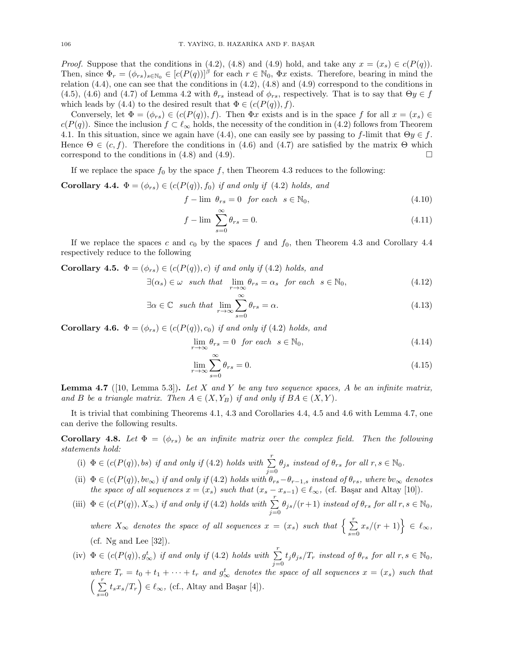*Proof.* Suppose that the conditions in (4.2), (4.8) and (4.9) hold, and take any  $x = (x_s) \in c(P(q))$ . Then, since  $\Phi_r = (\phi_{rs})_{s \in \mathbb{N}_0} \in [c(P(q))]^{\beta}$  for each  $r \in \mathbb{N}_0$ ,  $\Phi_x$  exists. Therefore, bearing in mind the relation  $(4.4)$ , one can see that the conditions in  $(4.2)$ ,  $(4.8)$  and  $(4.9)$  correspond to the conditions in (4.5), (4.6) and (4.7) of Lemma 4.2 with  $\theta_{rs}$  instead of  $\phi_{rs}$ , respectively. That is to say that  $\Theta y \in f$ which leads by (4.4) to the desired result that  $\Phi \in (c(P(q)), f)$ .

Conversely, let  $\Phi = (\phi_{rs}) \in (c(P(q)), f)$ . Then  $\Phi x$  exists and is in the space f for all  $x = (x_s) \in$  $c(P(q))$ . Since the inclusion  $f \subset \ell_{\infty}$  holds, the necessity of the condition in (4.2) follows from Theorem 4.1. In this situation, since we again have (4.4), one can easily see by passing to f-limit that  $\Theta y \in f$ . Hence  $\Theta \in (c, f)$ . Therefore the conditions in (4.6) and (4.7) are satisfied by the matrix  $\Theta$  which correspond to the conditions in (4.8) and (4.9).  $\Box$ 

If we replace the space  $f_0$  by the space f, then Theorem 4.3 reduces to the following:

Corollary 4.4.  $\Phi = (\phi_{rs}) \in (c(P(q)), f_0)$  if and only if (4.2) holds, and

 $f - \lim_{s \to \infty} \theta_{rs} = 0$  for each  $s \in \mathbb{N}_0$ , (4.10)

$$
f - \lim_{s \to 0} \sum_{s=0}^{\infty} \theta_{rs} = 0. \tag{4.11}
$$

If we replace the spaces c and  $c_0$  by the spaces f and  $f_0$ , then Theorem 4.3 and Corollary 4.4 respectively reduce to the following

Corollary 4.5.  $\Phi = (\phi_{rs}) \in (c(P(q)), c)$  if and only if (4.2) holds, and

$$
\exists (\alpha_s) \in \omega \quad such \; that \quad \lim_{r \to \infty} \theta_{rs} = \alpha_s \quad \text{for each} \quad s \in \mathbb{N}_0,
$$
\n
$$
(4.12)
$$

$$
\exists \alpha \in \mathbb{C} \ \ such \ that \ \lim_{r \to \infty} \sum_{s=0}^{\infty} \theta_{rs} = \alpha. \tag{4.13}
$$

**Corollary 4.6.**  $\Phi = (\phi_{rs}) \in (c(P(q)), c_0)$  if and only if (4.2) holds, and

$$
\lim_{r \to \infty} \theta_{rs} = 0 \quad \text{for each} \quad s \in \mathbb{N}_0,\tag{4.14}
$$

$$
\lim_{r \to \infty} \sum_{s=0}^{\infty} \theta_{rs} = 0. \tag{4.15}
$$

**Lemma 4.7** ([10, Lemma 5.3]). Let X and Y be any two sequence spaces, A be an infinite matrix, and B be a triangle matrix. Then  $A \in (X, Y_B)$  if and only if  $BA \in (X, Y)$ .

It is trivial that combining Theorems 4.1, 4.3 and Corollaries 4.4, 4.5 and 4.6 with Lemma 4.7, one can derive the following results.

**Corollary 4.8.** Let  $\Phi = (\phi_{rs})$  be an infinite matrix over the complex field. Then the following statements hold:

- (i)  $\Phi \in (c(P(q)), bs)$  if and only if (4.2) holds with  $\sum_{r=1}^{r}$  $\sum_{j=0}^{n} \theta_{js}$  instead of  $\theta_{rs}$  for all  $r, s \in \mathbb{N}_0$ .
- (ii)  $\Phi \in (c(P(q)), bv_{\infty})$  if and only if (4.2) holds with  $\theta_{rs}-\theta_{r-1,s}$  instead of  $\theta_{rs}$ , where  $bv_{\infty}$  denotes the space of all sequences  $x = (x_s)$  such that  $(x_s - x_{s-1}) \in \ell_{\infty}$ , (cf. Başar and Altay [10]).
- (iii)  $\Phi \in (c(P(q)), X_{\infty})$  if and only if (4.2) holds with  $\sum_{j=0}^{r} \theta_{js}/(r+1)$  instead of  $\theta_{rs}$  for all  $r, s \in \mathbb{N}_0$ , where  $X_{\infty}$  denotes the space of all sequences  $x = (x_s)$  such that  $\left\{\sum_{s=0}^r x_s/(r+1)\right\} \in \ell_{\infty}$ , (cf. Ng and Lee [32]).
- $(iv) \Phi \in (c(P(q)), g^t_\infty)$  if and only if (4.2) holds with  $\sum_{j=0}^r t_j \theta_{js}/T_r$  instead of  $\theta_{rs}$  for all  $r, s \in \mathbb{N}_0$ , where  $T_r = t_0 + t_1 + \cdots + t_r$  and  $g^t_\infty$  denotes the space of all sequences  $x = (x_s)$  such that  $\left(\begin{array}{c}r\\ \sum\end{array}\right)$  $\sum_{s=0}^{r} t_s x_s / T_r$   $\in \ell_{\infty}$ , (cf., Altay and Başar [4]).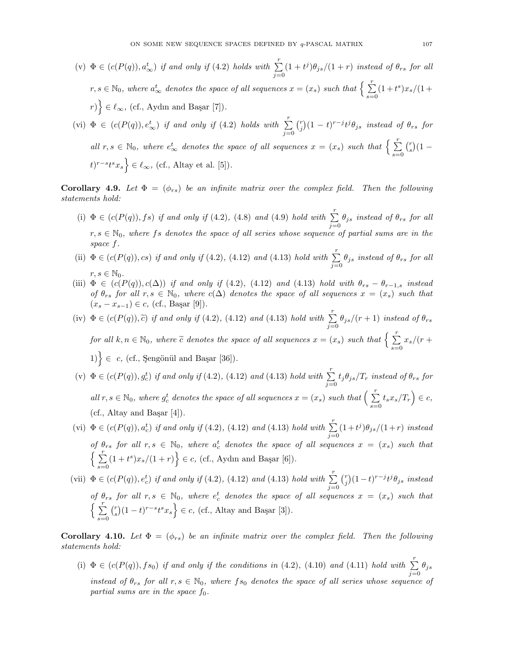- (v)  $\Phi \in (c(P(q)), a^t_{\infty})$  if and only if (4.2) holds with  $\sum_{j=0}^r$  $(1+t^j)\theta_{js}/(1+r)$  instead of  $\theta_{rs}$  for all  $r, s \in \mathbb{N}_0$ , where  $a_{\infty}^t$  denotes the space of all sequences  $x = (x_s)$  such that  $\Big\{\sum_{s=0}^r (1+t^s)x_s/(1+t^s)\Big\}$  $r$ )  $\in \ell_{\infty}$ , (cf., Aydın and Başar [7]).
- (vi)  $\Phi \in (c(P(q)), e^t_{\infty})$  if and only if (4.2) holds with  $\sum_{j=0}^r$  $\binom{r}{j}(1-t)^{r-j}t^j\theta_{js}$  instead of  $\theta_{rs}$  for all  $r, s \in \mathbb{N}_0$ , where  $e^t_{\infty}$  denotes the space of all sequences  $x = (x_s)$  such that  $\Big\{\sum_{s=0}^r a_s x_s\Big\}$  $\binom{r}{s} (1 (t)^{r-s}t^{s}x_{s}\Big\} \in \ell_{\infty}$ , (cf., Altay et al. [5]).

**Corollary 4.9.** Let  $\Phi = (\phi_{rs})$  be an infinite matrix over the complex field. Then the following statements hold:

- (i)  $\Phi \in (c(P(q)), fs)$  if and only if (4.2), (4.8) and (4.9) hold with  $\sum_{r=1}^{r}$  $\sum_{j=0} \theta_{js}$  instead of  $\theta_{rs}$  for all  $r, s \in \mathbb{N}_0$ , where fs denotes the space of all series whose sequence of partial sums are in the space f.
- (ii)  $\Phi \in (c(P(q)), cs)$  if and only if (4.2), (4.12) and (4.13) hold with  $\sum_{r=1}^{r}$  $\sum_{j=0} \theta_{js}$  instead of  $\theta_{rs}$  for all  $r, s \in \mathbb{N}_0$ .
- (iii)  $\Phi \in (c(P(q)), c(\Delta))$  if and only if (4.2), (4.12) and (4.13) hold with  $\theta_{rs} \theta_{r-1,s}$  instead of  $\theta_{rs}$  for all  $r, s \in \mathbb{N}_0$ , where  $c(\Delta)$  denotes the space of all sequences  $x = (x_s)$  such that  $(x_s - x_{s-1}) \in c$ , (cf., Başar [9]).

(iv)  $\Phi \in (c(P(q)), \tilde{c})$  if and only if (4.2), (4.12) and (4.13) hold with  $\sum_{j=0}^{r} \theta_{js}/(r+1)$  instead of  $\theta_{rs}$ for all  $k, n \in \mathbb{N}_0$ , where  $\tilde{c}$  denotes the space of all sequences  $x = (x_s)$  such that  $\Big\{\sum_{s=0}^r x_s/(r +$  $1)$   $\in$  c, (cf., Şengönül and Başar [36]).

- (v)  $\Phi \in (c(P(q)), g_c^t)$  if and only if (4.2), (4.12) and (4.13) hold with  $\sum^r$  $\sum_{j=0} t_j \theta_{js}/T_r$  instead of  $\theta_{rs}$  for all  $r, s \in \mathbb{N}_0$ , where  $g_c^t$  denotes the space of all sequences  $x = (x_s)$  such that  $\left(\sum_{s=0}^r t_s x_s / T_r\right) \in c$ ,  $(cf., Altay and Bagar [4]).$
- (vi)  $\Phi \in (c(P(q)), a_c^t)$  if and only if (4.2), (4.12) and (4.13) hold with  $\sum^r$  $j=0$  $(1+t^j)\theta_{js}/(1+r)$  instead of  $\theta_{rs}$  for all  $r, s \in \mathbb{N}_0$ , where  $a_c^t$  denotes the space of all sequences  $x = (x_s)$  such that  $\left\{\right. \sum_{r=1}^{r}$  $\sum_{s=0}^{r} (1+t^s)x_s/(1+r) \Big\} \in c$ , (cf., Aydın and Başar [6]).
- (vii)  $\Phi \in (c(P(q)), e_c^t)$  if and only if (4.2), (4.12) and (4.13) hold with  $\sum_{i=1}^r \binom{r}{i} (1-t)^{r-j} t^j \theta_{js}$  instead of  $\theta_{rs}$  for all  $r, s \in \mathbb{N}_0$ , where  $e_c^t$  denotes the space of all sequences  $x = (x_s)$  such that  $\left\{\right. \sum_{r=1}^{r}$  $s=0$  $\binom{r}{s}(1-t)^{r-s}t^sx_s$   $\in$  c, (cf., Altay and Başar [3]).

**Corollary 4.10.** Let  $\Phi = (\phi_{rs})$  be an infinite matrix over the complex field. Then the following statements hold:

(i)  $\Phi \in (c(P(q)), fs_0)$  if and only if the conditions in (4.2), (4.10) and (4.11) hold with  $\sum_{j=0}^{r} \theta_{js}$ instead of  $\theta_{rs}$  for all  $r, s \in \mathbb{N}_0$ , where  $fs_0$  denotes the space of all series whose sequence of partial sums are in the space  $f_0$ .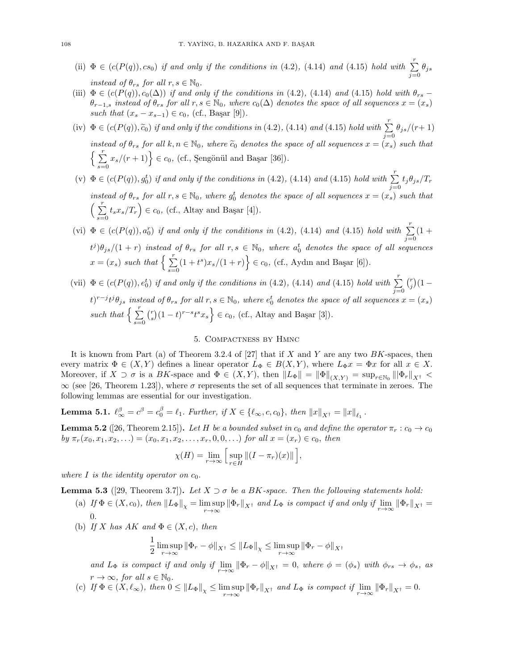- (ii)  $\Phi \in (c(P(q)), cs_0)$  if and only if the conditions in (4.2), (4.14) and (4.15) hold with  $\sum_{j=0}^r \theta_{js}$ instead of  $\theta_{rs}$  for all  $r, s \in \mathbb{N}_0$ .
- (iii)  $\Phi \in (c(P(q)), c_0(\Delta))$  if and only if the conditions in (4.2), (4.14) and (4.15) hold with  $\theta_{rs}$  −  $\theta_{r-1,s}$  instead of  $\theta_{rs}$  for all  $r, s \in \mathbb{N}_0$ , where  $c_0(\Delta)$  denotes the space of all sequences  $x = (x_s)$ such that  $(x_s - x_{s-1}) \in c_0$ , (cf., Başar [9]).
- (iv)  $\Phi \in (c(P(q)), \widetilde{c}_0)$  if and only if the conditions in (4.2), (4.14) and (4.15) hold with  $\sum_{j=0}^{r} \theta_{js}/(r+1)$ instead of  $\theta_{rs}$  for all  $k, n \in \mathbb{N}_0$ , where  $\tilde{c}_0$  denotes the space of all sequences  $x = (x_s)$  such that  $\left\{\right. \sum_{r=1}^{r}$  $\sum_{s=0}^{r} x_s/(r+1) \Big\} \in c_0$ , (cf., Şengönül and Başar [36]).
- (v)  $\Phi \in (c(P(q)), g_0^t)$  if and only if the conditions in (4.2), (4.14) and (4.15) hold with  $\sum^r$  $\sum_{j=0} t_j \theta_{js}/T_r$ instead of  $\theta_{rs}$  for all  $r, s \in \mathbb{N}_0$ , where  $g_0^t$  denotes the space of all sequences  $x = (x_s)$  such that  $\left(\begin{array}{c}r\\ \sum\end{array}\right)$  $\sum_{s=0}^{r} t_s x_s/T_r$   $\in$   $c_0$ , (cf., Altay and Başar [4]).
- (vi)  $\Phi \in (c(P(q)), a_0^r)$  if and only if the conditions in (4.2), (4.14) and (4.15) hold with  $\sum^r$  $j=0$  $(1 +$  $t^{j}$ ) $\theta_{js}/(1+r)$  instead of  $\theta_{rs}$  for all  $r,s \in \mathbb{N}_0$ , where  $a_0^t$  denotes the space of all sequences  $x = (x_s) \text{ such that } \left\{ \sum_{s=0}^r (1 + t^s) x_s / (1 + r) \right\} \in c_0, \text{ (cf., Aydın and Başar [6]).}$

(vii) 
$$
\Phi \in (c(P(q)), e_0^t)
$$
 if and only if the conditions in (4.2), (4.14) and (4.15) hold with  $\sum_{j=0}^r \binom{r}{j} (1-t)^{r-j} t^j \theta_{js}$  instead of  $\theta_{rs}$  for all  $r, s \in \mathbb{N}_0$ , where  $e_0^t$  denotes the space of all sequences  $x = (x_s)$  such that  $\left\{\sum_{s=0}^r \binom{r}{s} (1-t)^{r-s} t^s x_s \right\} \in c_0$ , (cf., Altay and Bagar [3]).

# 5. Compactness by Hmnc

It is known from Part (a) of Theorem 3.2.4 of [27] that if X and Y are any two  $BK$ -spaces, then every matrix  $\Phi \in (X, Y)$  defines a linear operator  $L_{\Phi} \in B(X, Y)$ , where  $L_{\Phi} x = \Phi x$  for all  $x \in X$ . Moreover, if  $X \supset \sigma$  is a  $BK$ -space and  $\Phi \in (X, Y)$ , then  $||L_{\Phi}|| = ||\Phi||_{(X,Y)} = \sup_{r \in \mathbb{N}_0} |||\Phi_r||_{X^{\dagger}} <$  $\infty$  (see [26, Theorem 1.23]), where  $\sigma$  represents the set of all sequences that terminate in zeroes. The following lemmas are essential for our investigation.

**Lemma 5.1.**  $\ell_{\infty}^{\beta} = c^{\beta} = c_0^{\beta} = \ell_1$ . Further, if  $X \in \{\ell_{\infty}, c, c_0\}$ , then  $||x||_{X^{\dagger}} = ||x||_{\ell_1}$ .

**Lemma 5.2** ([26, Theorem 2.15]). Let H be a bounded subset in  $c_0$  and define the operator  $\pi_r : c_0 \to c_0$ by  $\pi_r(x_0, x_1, x_2, \ldots) = (x_0, x_1, x_2, \ldots, x_r, 0, 0, \ldots)$  for all  $x = (x_r) \in c_0$ , then

$$
\chi(H) = \lim_{r \to \infty} \left[ \sup_{r \in H} \left\| (I - \pi_r)(x) \right\| \right],
$$

where I is the identity operator on  $c_0$ .

**Lemma 5.3** ([29, Theorem 3.7]). Let  $X \supset \sigma$  be a BK-space. Then the following statements hold:

- (a) If  $\Phi \in (X, c_0)$ , then  $||L_{\Phi}||_X = \limsup_{r \to \infty} ||\Phi_r||_{X^{\dagger}}$  and  $L_{\Phi}$  is compact if and only if  $\lim_{r \to \infty} ||\Phi_r||_{X^{\dagger}} =$ 0.
- (b) If X has AK and  $\Phi \in (X, c)$ , then

$$
\frac{1}{2}\limsup_{r\to\infty}\left\|\Phi_r-\phi\right\|_{X^\dagger}\leq \left\|L_\Phi\right\|_\chi\leq \limsup_{r\to\infty}\left\|\Phi_r-\phi\right\|_{X^\dagger}
$$

and  $L_{\Phi}$  is compact if and only if  $\lim_{r\to\infty} \|\Phi_r - \phi\|_{X^{\dagger}} = 0$ , where  $\phi = (\phi_s)$  with  $\phi_{rs} \to \phi_s$ , as  $r \to \infty$ , for all  $s \in \mathbb{N}_0$ .

(c) If  $\Phi \in (X, \ell_{\infty})$ , then  $0 \leq ||L_{\Phi}||_{\chi} \leq \limsup_{r \to \infty} ||\Phi_r||_{X^{\dagger}}$  and  $L_{\Phi}$  is compact if  $\lim_{r \to \infty} ||\Phi_r||_{X^{\dagger}} = 0$ .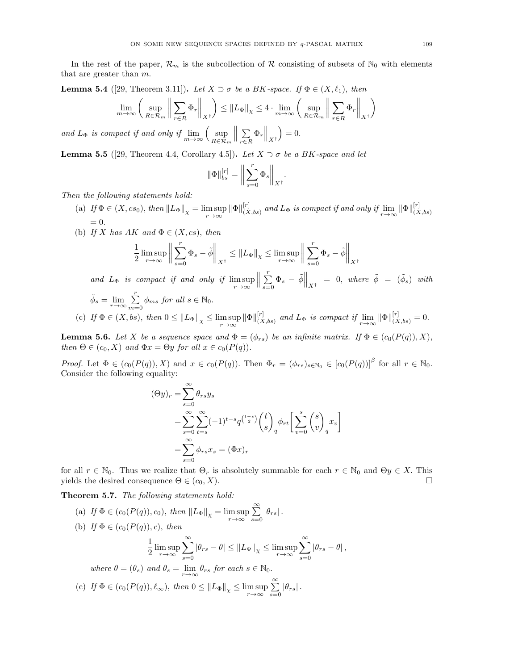In the rest of the paper,  $\mathcal{R}_m$  is the subcollection of R consisting of subsets of  $\mathbb{N}_0$  with elements that are greater than m.

**Lemma 5.4** ([29, Theorem 3.11]). Let  $X \supset \sigma$  be a BK-space. If  $\Phi \in (X, \ell_1)$ , then

$$
\lim_{m \to \infty} \left( \sup_{R \in \mathcal{R}_m} \left\| \sum_{r \in R} \Phi_r \right\|_{X^{\dagger}} \right) \leq \|L_{\Phi}\|_{\chi} \leq 4 \cdot \lim_{m \to \infty} \left( \sup_{R \in \mathcal{R}_m} \left\| \sum_{r \in R} \Phi_r \right\|_{X^{\dagger}} \right)
$$

and  $L_{\Phi}$  is compact if and only if  $\lim_{m\to\infty} \left(\sup_{B\subset\mathcal{B}_n}$  $R \in \mathcal{R}_m$  $\Big\| \sum_{r \in P}$  $\sum_{r\in R} \Phi_r \bigg\|_{X^\dagger}$  $= 0.$ 

**Lemma 5.5** ([29, Theorem 4.4, Corollary 4.5]). Let  $X \supset \sigma$  be a BK-space and let

$$
\|\Phi\|_{bs}^{[r]} = \bigg\|\sum_{s=0}^r \Phi_s \bigg\|_{X^{\dagger}}.
$$

Then the following statements hold:

- (a) If  $\Phi \in (X, cs_0)$ , then  $||L_{\Phi}||_X = \limsup_{r \to \infty} ||\Phi||_{(X)}^{[r]}$  $\lim_{(X,bs)}$  and  $L_{\Phi}$  is compact if and only if  $\lim_{r\to\infty} \|\Phi\|_{(X,b)}^{[r]}$  $(X,bs)$  $= 0.$
- (b) If X has AK and  $\Phi \in (X, cs)$ , then

$$
\frac{1}{2}\limsup_{r\to\infty}\bigg\|\sum_{s=0}^r\Phi_s-\tilde{\phi}\bigg\|_{X^\dagger}\leq \|L_{\Phi}\|_{\chi}\leq \limsup_{r\to\infty}\bigg\|\sum_{s=0}^r\Phi_s-\tilde{\phi}\bigg\|_{X^\dagger}
$$

and  $L_{\Phi}$  is compact if and only if  $\limsup_{r \to \infty}$  $\Big\| \sum_{s=0}^r$  $\sum_{s=0}^{r} \Phi_s - \tilde{\phi}\Big\|_{X^{\dagger}} = 0$ , where  $\tilde{\phi} = (\tilde{\phi}_s)$  with  $\tilde{\phi}_s = \lim_{r \to \infty} \sum_{m=0}^r \phi_{ms}$  for all  $s \in \mathbb{N}_0$ .  $m=0$ 

(c) If  $\Phi \in (X,bs)$ , then  $0 \leq ||L_{\Phi}||_{\chi} \leq \limsup_{r \to \infty} ||\Phi||_{(X)}^{[r]}$  $\lim_{(X,bs)}$  and  $L_{\Phi}$  is compact if  $\lim_{r\to\infty} \|\Phi\|_{(X,bs)}^{[r]} = 0.$ 

**Lemma 5.6.** Let X be a sequence space and  $\Phi = (\phi_{rs})$  be an infinite matrix. If  $\Phi \in (c_0(P(q)), X)$ , then  $\Theta \in (c_0, X)$  and  $\Phi x = \Theta y$  for all  $x \in c_0(P(q))$ .

*Proof.* Let  $\Phi \in (c_0(P(q)), X)$  and  $x \in c_0(P(q))$ . Then  $\Phi_r = (\phi_{rs})_{s \in \mathbb{N}_0} \in [c_0(P(q))]^{\beta}$  for all  $r \in \mathbb{N}_0$ . Consider the following equality:

$$
(\Theta y)_r = \sum_{s=0}^{\infty} \theta_{rs} y_s
$$
  
= 
$$
\sum_{s=0}^{\infty} \sum_{t=s}^{\infty} (-1)^{t-s} q^{\binom{t-s}{2}} \binom{t}{s}_q \phi_{rt} \left[ \sum_{v=0}^s \binom{s}{v}_q x_v \right]
$$
  
= 
$$
\sum_{s=0}^{\infty} \phi_{rs} x_s = (\Phi x)_r
$$

for all  $r \in \mathbb{N}_0$ . Thus we realize that  $\Theta_r$  is absolutely summable for each  $r \in \mathbb{N}_0$  and  $\Theta_y \in X$ . This yields the desired consequence  $\Theta \in (c_0, X)$ .

Theorem 5.7. The following statements hold:

(a) If 
$$
\Phi \in (c_0(P(q)), c_0)
$$
, then  $||L_{\Phi}||_{\chi} = \limsup_{r \to \infty} \sum_{s=0}^{\infty} |\theta_{rs}|$ .  
\n(b) If  $\Phi \in (c_0(P(q)), c)$ , then  
\n
$$
\frac{1}{2} \limsup_{r \to \infty} \sum_{s=0}^{\infty} |\theta_{rs} - \theta| \le ||L_{\Phi}||_{\chi} \le \limsup_{r \to \infty} \sum_{s=0}^{\infty} |\theta_{rs} - \theta|
$$
,  
\nwhere  $\theta = (\theta_s)$  and  $\theta_s = \lim_{r \to \infty} \theta_{rs}$  for each  $s \in \mathbb{N}_0$ .  
\n(c) If  $\Phi \in (c_0(P(q)), \ell_{\infty})$ , then  $0 \le ||L_{\Phi}||_{\chi} \le \limsup_{r \to \infty} \sum_{s=0}^{\infty} |\theta_{rs}|$ .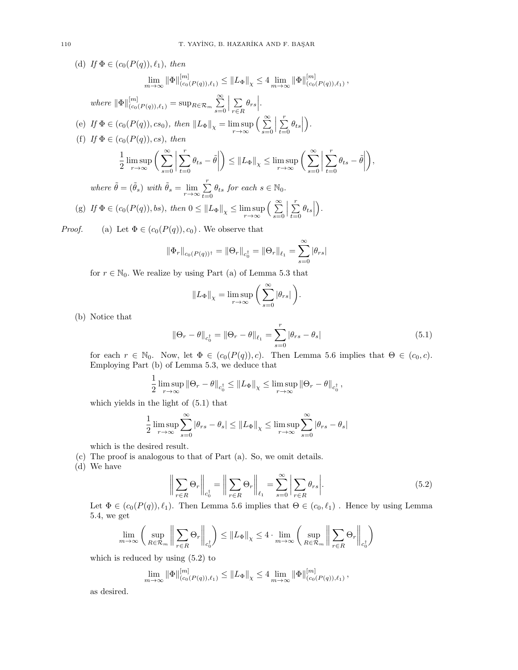(d) If  $\Phi \in (c_0(P(q)), \ell_1)$ , then  $\lim_{m\to\infty} \|\Phi\|_{(c_0(P(q)),\ell_1)}^{[m]} \leq \|L_{\Phi}\|_{\chi} \leq 4 \lim_{m\to\infty} \|\Phi\|_{(c_0)}^{[m]}$  $\frac{[m]}{(c_0(P(q)),\ell_1)},$ where  $\|\Phi\|_{(c_0(P(q)),\ell_1)}^{[m]} = \sup_{R \in \mathcal{R}_m} \sum_{n=1}^{\infty}$  $s=0$  $\Big| \sum_{r \in P}$  $\sum_{r \in R} \theta_{rs}$ . (e) If  $\Phi \in (c_0(P(q)), cs_0)$ , then  $||L_{\Phi}||_{\chi} = \limsup_{r \to \infty} \left( \sum_{s=0}^{\infty}$  $s=0$  $\Big|\sum_{t=0}^r$  $\sum_{t=0}^r \theta_{ts}$  . (f) If  $\Phi \in (c_0(P(q)), cs), \text{ then}$ 1  $\frac{1}{2} \limsup_{r \to \infty} \left( \sum_{s=0}^{\infty} \right)$  $\begin{array}{c} \begin{array}{c} \begin{array}{c} \end{array} \\ \begin{array}{c} \end{array} \end{array} \end{array}$  $\sum_{r}$  $t=0$  $\theta_{ts} - \tilde{\theta}$  $\left|\sum_{\alpha=0}^{\infty} |L_{\Phi}||_{\chi} \leq \limsup_{r \to \infty} \left(\sum_{s=0}^{\infty} \right)$  $\begin{array}{c} \hline \rule{0pt}{2ex} \rule{0pt}{2ex} \rule{0pt}{2ex} \rule{0pt}{2ex} \rule{0pt}{2ex} \rule{0pt}{2ex} \rule{0pt}{2ex} \rule{0pt}{2ex} \rule{0pt}{2ex} \rule{0pt}{2ex} \rule{0pt}{2ex} \rule{0pt}{2ex} \rule{0pt}{2ex} \rule{0pt}{2ex} \rule{0pt}{2ex} \rule{0pt}{2ex} \rule{0pt}{2ex} \rule{0pt}{2ex} \rule{0pt}{2ex} \rule{0pt}{2ex} \rule{0pt}{2ex} \rule{0pt}{2ex} \rule{0pt}{2ex} \rule{$  $\sum_{r}$  $t=0$  $\theta_{ts} - \tilde{\theta}$ where  $\tilde{\theta} = (\tilde{\theta}_s)$  with  $\tilde{\theta}_s = \lim_{r \to \infty} \sum_{t=0}^r$  $\sum_{t=0}^{N} \theta_{ts}$  for each  $s \in \mathbb{N}_0$ . (g) If  $\Phi \in (c_0(P(q)), bs)$ , then  $0 \leq ||L_{\Phi}||_{\chi} \leq \limsup_{r \to \infty} \left( \sum_{s=0}^{\infty}$  $s=0$  $\Big|\sum_{t=0}^r$  $\sum_{t=0}^r \theta_{ts}$ .

*Proof.* (a) Let  $\Phi \in (c_0(P(q)), c_0)$ . We observe that

$$
\|\Phi_r\|_{c_0(P(q))^{\dagger}} = \|\Theta_r\|_{c_0^{\dagger}} = \|\Theta_r\|_{\ell_1} = \sum_{s=0}^{\infty} |\theta_{rs}|
$$

for  $r \in \mathbb{N}_0$ . We realize by using Part (a) of Lemma 5.3 that

$$
||L_{\Phi}||_{\chi} = \limsup_{r \to \infty} \left( \sum_{s=0}^{\infty} |\theta_{rs}| \right).
$$

(b) Notice that

$$
\|\Theta_r - \theta\|_{c_0^{\dagger}} = \|\Theta_r - \theta\|_{\ell_1} = \sum_{s=0}^r |\theta_{rs} - \theta_s|
$$
\n(5.1)

 $\bigg),$ 

for each  $r \in \mathbb{N}_0$ . Now, let  $\Phi \in (c_0(P(q)), c)$ . Then Lemma 5.6 implies that  $\Theta \in (c_0, c)$ . Employing Part (b) of Lemma 5.3, we deduce that

$$
\frac{1}{2}\limsup_{r\to\infty}\left\|\Theta_r-\theta\right\|_{c_0^\dagger}\leq \left\|L_\Phi\right\|_\chi\leq \limsup_{r\to\infty}\left\|\Theta_r-\theta\right\|_{c_0^\dagger},
$$

which yields in the light of (5.1) that

$$
\frac{1}{2}\limsup_{r\to\infty}\sum_{s=0}^{\infty}\left|\theta_{rs}-\theta_{s}\right|\leq\left\|L_{\Phi}\right\|_{\chi}\leq\limsup_{r\to\infty}\sum_{s=0}^{\infty}\left|\theta_{rs}-\theta_{s}\right|
$$

which is the desired result.

(c) The proof is analogous to that of Part (a). So, we omit details.

(d) We have

$$
\left\| \sum_{r \in R} \Theta_r \right\|_{c_0^{\dagger}} = \left\| \sum_{r \in R} \Theta_r \right\|_{\ell_1} = \sum_{s=0}^{\infty} \left| \sum_{r \in R} \theta_{rs} \right|.
$$
 (5.2)

Let  $\Phi \in (c_0(P(q)), \ell_1)$ . Then Lemma 5.6 implies that  $\Theta \in (c_0, \ell_1)$ . Hence by using Lemma 5.4, we get

$$
\lim_{m \to \infty} \left( \sup_{R \in \mathcal{R}_m} \left\| \sum_{r \in R} \Theta_r \right\|_{c_0^{\dagger}} \right) \leq \|L_{\Phi}\|_{\chi} \leq 4 \cdot \lim_{m \to \infty} \left( \sup_{R \in \mathcal{R}_m} \left\| \sum_{r \in R} \Theta_r \right\|_{c_0^{\dagger}} \right)
$$

which is reduced by using (5.2) to

$$
\lim_{m\to\infty} \|\Phi\|_{(c_0(P(q)),\ell_1)}^{[m]} \le \|L_{\Phi}\|_{\chi} \le 4 \lim_{m\to\infty} \|\Phi\|_{(c_0(P(q)),\ell_1)}^{[m]},
$$

as desired.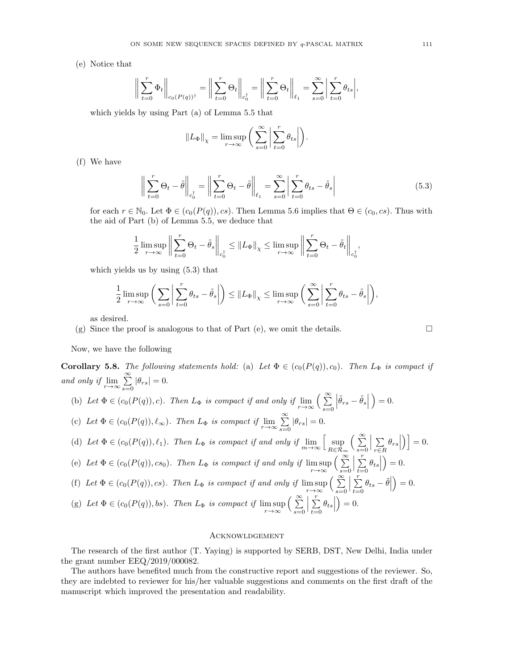(e) Notice that

$$
\bigg\| \sum_{t=0}^r \Phi_t \bigg\|_{c_0(P(q))^{\dagger}} = \bigg\| \sum_{t=0}^r \Theta_t \bigg\|_{c_0^{\dagger}} = \bigg\| \sum_{t=0}^r \Theta_t \bigg\|_{\ell_1} = \sum_{s=0}^\infty \bigg| \sum_{t=0}^r \theta_{ts} \bigg\|,
$$

which yields by using Part (a) of Lemma 5.5 that

$$
||L_{\Phi}||_{\chi} = \limsup_{r \to \infty} \left( \sum_{s=0}^{\infty} \left| \sum_{t=0}^{r} \theta_{ts} \right| \right).
$$

(f) We have

$$
\left\| \sum_{t=0}^{r} \Theta_t - \tilde{\theta} \right\|_{c_0^{\dagger}} = \left\| \sum_{t=0}^{r} \Theta_t - \tilde{\theta} \right\|_{\ell_1} = \sum_{s=0}^{\infty} \left| \sum_{t=0}^{r} \theta_{ts} - \tilde{\theta}_s \right|
$$
\n(5.3)

for each  $r \in \mathbb{N}_0$ . Let  $\Phi \in (c_0(P(q)), cs)$ . Then Lemma 5.6 implies that  $\Theta \in (c_0, cs)$ . Thus with the aid of Part (b) of Lemma 5.5, we deduce that

$$
\frac{1}{2}\limsup_{r\to\infty}\bigg\|\sum_{t=0}^r\Theta_t - \tilde{\theta}_s\bigg\|_{c_0^{\dagger}} \le \|L_{\Phi}\|_{\chi} \le \limsup_{r\to\infty}\bigg\|\sum_{t=0}^r\Theta_t - \tilde{\theta}_t\bigg\|_{c_0^{\dagger}},
$$

which yields us by using (5.3) that

$$
\frac{1}{2}\limsup_{r\to\infty}\bigg(\sum_{s=0}\bigg|\sum_{t=0}^r\theta_{ts}-\tilde{\theta}_s\bigg|\bigg)\leq \|L_{\Phi}\|_{\chi}\leq \limsup_{r\to\infty}\bigg(\sum_{s=0}^{\infty}\bigg|\sum_{t=0}^r\theta_{ts}-\tilde{\theta}_s\bigg|\bigg)
$$

as desired.

(g) Since the proof is analogous to that of Part (e), we omit the details.  $\square$ 

,

Now, we have the following

**Corollary 5.8.** The following statements hold: (a) Let  $\Phi \in (c_0(P(q)), c_0)$ . Then  $L_{\Phi}$  is compact if and only if  $\lim_{r\to\infty}\sum_{s=0}^{\infty}$  $\sum_{s=0} |\theta_{rs}| = 0.$ 

\n- (b) Let 
$$
\Phi \in (c_0(P(q)), c)
$$
. Then  $L_{\Phi}$  is compact if and only if  $\lim_{r \to \infty} \left( \sum_{s=0}^{\infty} \left| \tilde{\theta}_{rs} - \tilde{\theta}_s \right| \right) = 0.$
\n- (c) Let  $\Phi \in (c_0(P(q)), \ell_{\infty})$ . Then  $L_{\Phi}$  is compact if  $\lim_{r \to \infty} \sum_{s=0}^{\infty} |\theta_{rs}| = 0.$
\n- (d) Let  $\Phi \in (c_0(P(q)), \ell_1)$ . Then  $L_{\Phi}$  is compact if and only if  $\lim_{m \to \infty} \left[ \sup_{R \in \mathcal{R}_m} \left( \sum_{s=0}^{\infty} \left| \sum_{r \in R} \theta_{rs} \right| \right) \right] = 0.$
\n- (e) Let  $\Phi \in (c_0(P(q)), cs_0)$ . Then  $L_{\Phi}$  is compact if and only if  $\limsup_{r \to \infty} \left( \sum_{s=0}^{\infty} \left| \sum_{t=0}^r \theta_{ts} \right| \right) = 0.$
\n- (f) Let  $\Phi \in (c_0(P(q)), cs)$ . Then  $L_{\Phi}$  is compact if and only if  $\limsup_{r \to \infty} \left( \sum_{s=0}^{\infty} \left| \sum_{t=0}^r \theta_{ts} - \tilde{\theta} \right| \right) = 0.$
\n- (g) Let  $\Phi \in (c_0(P(q)), bs)$ . Then  $L_{\Phi}$  is compact if  $\limsup_{r \to \infty} \left( \sum_{s=0}^{\infty} \left| \sum_{t=0}^r \theta_{ts} \right| \right) = 0.$
\n

### **ACKNOWLDGEMENT**

The research of the first author (T. Yaying) is supported by SERB, DST, New Delhi, India under the grant number EEQ/2019/000082.

The authors have benefited much from the constructive report and suggestions of the reviewer. So, they are indebted to reviewer for his/her valuable suggestions and comments on the first draft of the manuscript which improved the presentation and readability.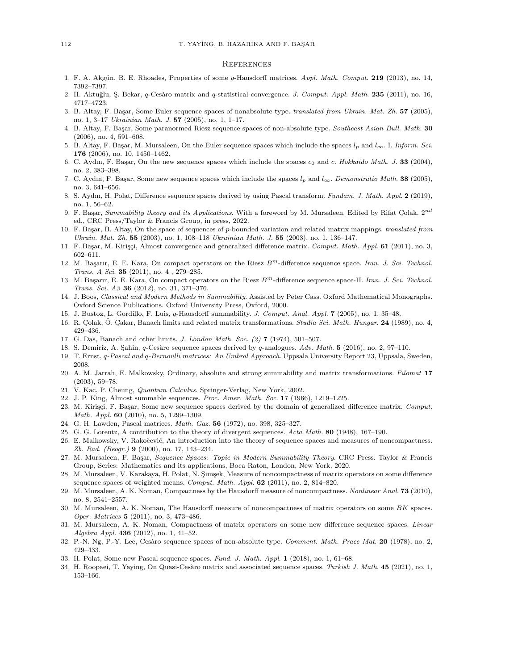#### **REFERENCES**

- 1. F. A. Akgün, B. E. Rhoades, Properties of some q-Hausdorff matrices. Appl. Math. Comput. 219 (2013), no. 14, 7392–7397.
- 2. H. Aktuğlu, Ş. Bekar, q-Cesàro matrix and q-statistical convergence. J. Comput. Appl. Math. 235 (2011), no. 16, 4717–4723.
- 3. B. Altay, F. Başar, Some Euler sequence spaces of nonabsolute type. translated from Ukrain. Mat. Zh. 57 (2005), no. 1, 3–17 Ukrainian Math. J. 57 (2005), no. 1, 1–17.
- 4. B. Altay, F. Başar, Some paranormed Riesz sequence spaces of non-absolute type. Southeast Asian Bull. Math. 30 (2006), no. 4, 591–608.
- 5. B. Altay, F. Başar, M. Mursaleen, On the Euler sequence spaces which include the spaces  $l_p$  and  $l_\infty$ . I. Inform. Sci. 176 (2006), no. 10, 1450–1462.
- 6. C. Aydın, F. Başar, On the new sequence spaces which include the spaces  $c_0$  and c. Hokkaido Math. J. 33 (2004), no. 2, 383–398.
- 7. C. Aydın, F. Başar, Some new sequence spaces which include the spaces  $l_p$  and  $l_{\infty}$ . Demonstratio Math. 38 (2005), no. 3, 641–656.
- 8. S. Aydın, H. Polat, Difference sequence spaces derived by using Pascal transform. Fundam. J. Math. Appl. 2 (2019), no. 1, 56–62.
- 9. F. Başar, Summability theory and its Applications. With a foreword by M. Mursaleen. Edited by Rifat Colak.  $2^{nd}$ ed., CRC Press/Taylor & Francis Group, in press, 2022.
- 10. F. Basar, B. Altay, On the space of sequences of p-bounded variation and related matrix mappings. translated from Ukrain. Mat. Zh. 55 (2003), no. 1, 108–118 Ukrainian Math. J. 55 (2003), no. 1, 136–147.
- 11. F. Başar, M. Kirişçi, Almost convergence and generalized difference matrix. Comput. Math. Appl. 61 (2011), no. 3, 602–611.
- 12. M. Başarır, E. E. Kara, On compact operators on the Riesz  $B<sup>m</sup>$ -difference sequence space. Iran. J. Sci. Technol. Trans. A Sci. 35 (2011), no. 4, 279-285.
- 13. M. Başarır, E. E. Kara, On compact operators on the Riesz  $B<sup>m</sup>$ -difference sequence space-II. Iran. J. Sci. Technol. Trans. Sci. A3 36 (2012), no. 31, 371-376.
- 14. J. Boos, Classical and Modern Methods in Summability. Assisted by Peter Cass. Oxford Mathematical Monographs. Oxford Science Publications. Oxford University Press, Oxford, 2000.
- 15. J. Bustoz, L. Gordillo, F. Luis, q-Hausdorff summability. J. Comput. Anal. Appl. 7 (2005), no. 1, 35–48.
- 16. R. Çolak, O. Çakar, Banach limits and related matrix transformations. *Studia Sci. Math. Hungar*. 24 (1989), no. 4, 429–436.
- 17. G. Das, Banach and other limits. *J. London Math. Soc.* (2) **7** (1974), 501-507.
- 18. S. Demiriz, A. Şahin,  $q$ -Cesàro sequence spaces derived by  $q$ -analogues. Adv. Math. 5 (2016), no. 2, 97–110.
- 19. T. Ernst, q-Pascal and q-Bernoulli matrices: An Umbral Approach. Uppsala University Report 23, Uppsala, Sweden, 2008.
- 20. A. M. Jarrah, E. Malkowsky, Ordinary, absolute and strong summability and matrix transformations. Filomat 17 (2003), 59–78.
- 21. V. Kac, P. Cheung, Quantum Calculus. Springer-Verlag, New York, 2002.
- 22. J. P. King, Almost summable sequences. Proc. Amer. Math. Soc. 17 (1966), 1219–1225.
- 23. M. Kirişçi, F. Başar, Some new sequence spaces derived by the domain of generalized difference matrix. Comput. Math. Appl. **60** (2010), no. 5, 1299-1309.
- 24. G. H. Lawden, Pascal matrices. Math. Gaz. 56 (1972), no. 398, 325–327.
- 25. G. G. Lorentz, A contribution to the theory of divergent sequences. Acta Math. 80 (1948), 167–190.
- 26. E. Malkowsky, V. Rakočević, An introduction into the theory of sequence spaces and measures of noncompactness. Zb. Rad. (Beogr.) 9 (2000), no. 17, 143–234.
- 27. M. Mursaleen, F. Başar, Sequence Spaces: Topic in Modern Summability Theory. CRC Press. Taylor & Francis Group, Series: Mathematics and its applications, Boca Raton, London, New York, 2020.
- 28. M. Mursaleen, V. Karakaya, H. Polat, N. Şimşek, Measure of noncompactness of matrix operators on some difference sequence spaces of weighted means. Comput. Math. Appl. 62 (2011), no. 2, 814–820.
- 29. M. Mursaleen, A. K. Noman, Compactness by the Hausdorff measure of noncompactness. Nonlinear Anal. 73 (2010), no. 8, 2541–2557.
- 30. M. Mursaleen, A. K. Noman, The Hausdorff measure of noncompactness of matrix operators on some BK spaces. Oper. Matrices 5 (2011), no. 3, 473–486.
- 31. M. Mursaleen, A. K. Noman, Compactness of matrix operators on some new difference sequence spaces. Linear Algebra Appl. 436 (2012), no. 1, 41–52.
- 32. P.-N. Ng, P.-Y. Lee, Cesàro sequence spaces of non-absolute type. Comment. Math. Prace Mat. 20 (1978), no. 2, 429–433.
- 33. H. Polat, Some new Pascal sequence spaces. Fund. J. Math. Appl. 1 (2018), no. 1, 61–68.
- 34. H. Roopaei, T. Yaying, On Quasi-Cesàro matrix and associated sequence spaces. Turkish J. Math. 45 (2021), no. 1, 153–166.